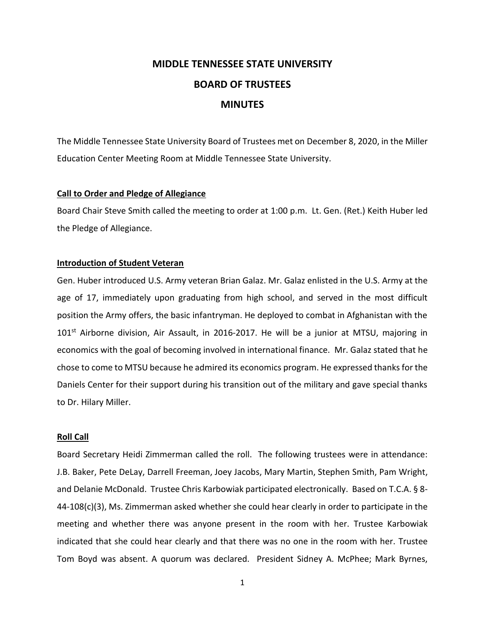# **MIDDLE TENNESSEE STATE UNIVERSITY BOARD OF TRUSTEES MINUTES**

The Middle Tennessee State University Board of Trustees met on December 8, 2020, in the Miller Education Center Meeting Room at Middle Tennessee State University.

# **Call to Order and Pledge of Allegiance**

Board Chair Steve Smith called the meeting to order at 1:00 p.m. Lt. Gen. (Ret.) Keith Huber led the Pledge of Allegiance.

# **Introduction of Student Veteran**

Gen. Huber introduced U.S. Army veteran Brian Galaz. Mr. Galaz enlisted in the U.S. Army at the age of 17, immediately upon graduating from high school, and served in the most difficult position the Army offers, the basic infantryman. He deployed to combat in Afghanistan with the  $101<sup>st</sup>$  Airborne division, Air Assault, in 2016-2017. He will be a junior at MTSU, majoring in economics with the goal of becoming involved in international finance. Mr. Galaz stated that he chose to come to MTSU because he admired its economics program. He expressed thanks for the Daniels Center for their support during his transition out of the military and gave special thanks to Dr. Hilary Miller.

### **Roll Call**

Board Secretary Heidi Zimmerman called the roll. The following trustees were in attendance: J.B. Baker, Pete DeLay, Darrell Freeman, Joey Jacobs, Mary Martin, Stephen Smith, Pam Wright, and Delanie McDonald. Trustee Chris Karbowiak participated electronically. Based on T.C.A. § 8- 44-108(c)(3), Ms. Zimmerman asked whether she could hear clearly in order to participate in the meeting and whether there was anyone present in the room with her. Trustee Karbowiak indicated that she could hear clearly and that there was no one in the room with her. Trustee Tom Boyd was absent. A quorum was declared. President Sidney A. McPhee; Mark Byrnes,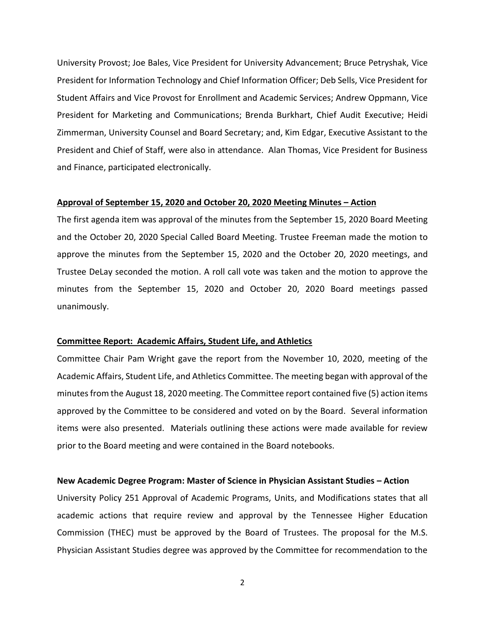University Provost; Joe Bales, Vice President for University Advancement; Bruce Petryshak, Vice President for Information Technology and Chief Information Officer; Deb Sells, Vice President for Student Affairs and Vice Provost for Enrollment and Academic Services; Andrew Oppmann, Vice President for Marketing and Communications; Brenda Burkhart, Chief Audit Executive; Heidi Zimmerman, University Counsel and Board Secretary; and, Kim Edgar, Executive Assistant to the President and Chief of Staff, were also in attendance. Alan Thomas, Vice President for Business and Finance, participated electronically.

#### **Approval of September 15, 2020 and October 20, 2020 Meeting Minutes – Action**

The first agenda item was approval of the minutes from the September 15, 2020 Board Meeting and the October 20, 2020 Special Called Board Meeting. Trustee Freeman made the motion to approve the minutes from the September 15, 2020 and the October 20, 2020 meetings, and Trustee DeLay seconded the motion. A roll call vote was taken and the motion to approve the minutes from the September 15, 2020 and October 20, 2020 Board meetings passed unanimously.

# **Committee Report: Academic Affairs, Student Life, and Athletics**

Committee Chair Pam Wright gave the report from the November 10, 2020, meeting of the Academic Affairs, Student Life, and Athletics Committee. The meeting began with approval of the minutes from the August 18, 2020 meeting. The Committee report contained five (5) action items approved by the Committee to be considered and voted on by the Board. Several information items were also presented. Materials outlining these actions were made available for review prior to the Board meeting and were contained in the Board notebooks.

#### **New Academic Degree Program: Master of Science in Physician Assistant Studies – Action**

University Policy 251 Approval of Academic Programs, Units, and Modifications states that all academic actions that require review and approval by the Tennessee Higher Education Commission (THEC) must be approved by the Board of Trustees. The proposal for the M.S. Physician Assistant Studies degree was approved by the Committee for recommendation to the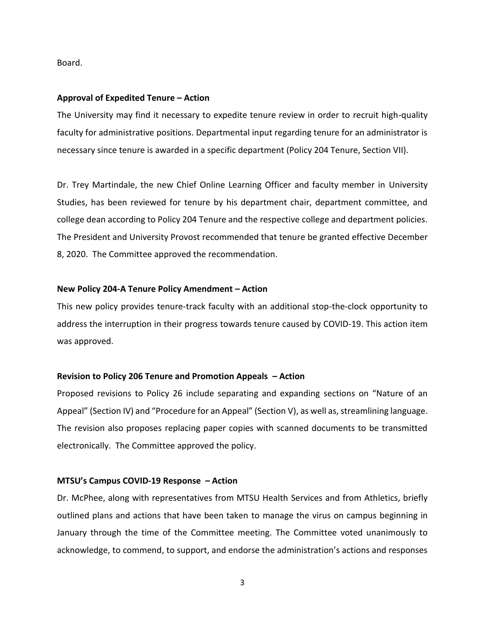Board.

#### **Approval of Expedited Tenure – Action**

The University may find it necessary to expedite tenure review in order to recruit high-quality faculty for administrative positions. Departmental input regarding tenure for an administrator is necessary since tenure is awarded in a specific department (Policy 204 Tenure, Section VII).

Dr. Trey Martindale, the new Chief Online Learning Officer and faculty member in University Studies, has been reviewed for tenure by his department chair, department committee, and college dean according to Policy 204 Tenure and the respective college and department policies. The President and University Provost recommended that tenure be granted effective December 8, 2020. The Committee approved the recommendation.

# **New Policy 204-A Tenure Policy Amendment – Action**

This new policy provides tenure-track faculty with an additional stop-the-clock opportunity to address the interruption in their progress towards tenure caused by COVID-19. This action item was approved.

#### **Revision to Policy 206 Tenure and Promotion Appeals – Action**

Proposed revisions to Policy 26 include separating and expanding sections on "Nature of an Appeal" (Section IV) and "Procedure for an Appeal" (Section V), as well as, streamlining language. The revision also proposes replacing paper copies with scanned documents to be transmitted electronically. The Committee approved the policy.

#### **MTSU's Campus COVID-19 Response – Action**

Dr. McPhee, along with representatives from MTSU Health Services and from Athletics, briefly outlined plans and actions that have been taken to manage the virus on campus beginning in January through the time of the Committee meeting. The Committee voted unanimously to acknowledge, to commend, to support, and endorse the administration's actions and responses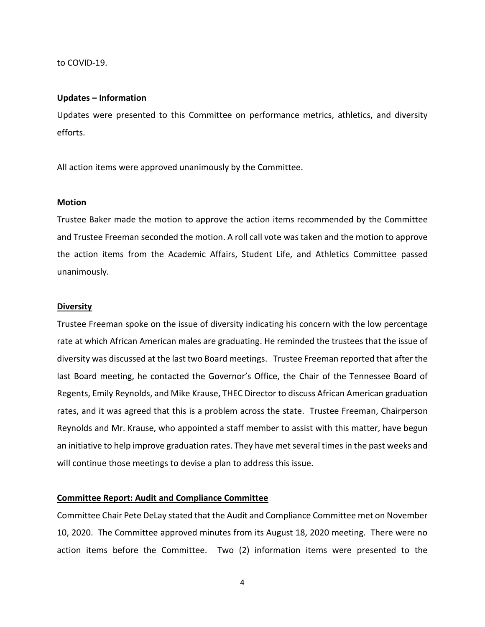to COVID-19.

#### **Updates – Information**

Updates were presented to this Committee on performance metrics, athletics, and diversity efforts.

All action items were approved unanimously by the Committee.

### **Motion**

Trustee Baker made the motion to approve the action items recommended by the Committee and Trustee Freeman seconded the motion. A roll call vote was taken and the motion to approve the action items from the Academic Affairs, Student Life, and Athletics Committee passed unanimously.

#### **Diversity**

Trustee Freeman spoke on the issue of diversity indicating his concern with the low percentage rate at which African American males are graduating. He reminded the trustees that the issue of diversity was discussed at the last two Board meetings. Trustee Freeman reported that after the last Board meeting, he contacted the Governor's Office, the Chair of the Tennessee Board of Regents, Emily Reynolds, and Mike Krause, THEC Director to discuss African American graduation rates, and it was agreed that this is a problem across the state. Trustee Freeman, Chairperson Reynolds and Mr. Krause, who appointed a staff member to assist with this matter, have begun an initiative to help improve graduation rates. They have met several times in the past weeks and will continue those meetings to devise a plan to address this issue.

# **Committee Report: Audit and Compliance Committee**

Committee Chair Pete DeLay stated that the Audit and Compliance Committee met on November 10, 2020. The Committee approved minutes from its August 18, 2020 meeting. There were no action items before the Committee. Two (2) information items were presented to the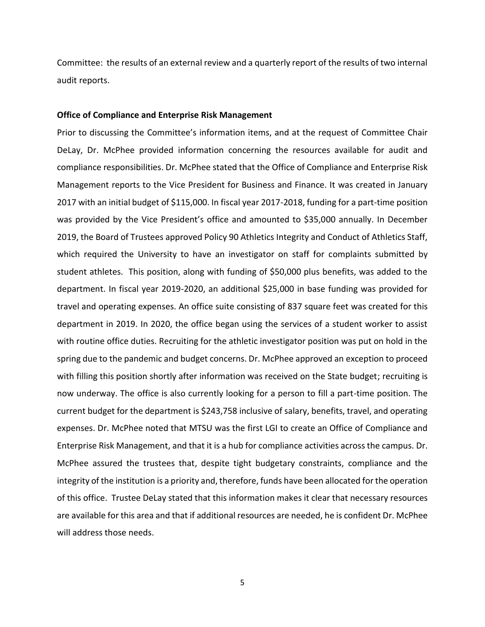Committee: the results of an external review and a quarterly report of the results of two internal audit reports.

#### **Office of Compliance and Enterprise Risk Management**

Prior to discussing the Committee's information items, and at the request of Committee Chair DeLay, Dr. McPhee provided information concerning the resources available for audit and compliance responsibilities. Dr. McPhee stated that the Office of Compliance and Enterprise Risk Management reports to the Vice President for Business and Finance. It was created in January 2017 with an initial budget of \$115,000. In fiscal year 2017-2018, funding for a part-time position was provided by the Vice President's office and amounted to \$35,000 annually. In December 2019, the Board of Trustees approved Policy 90 Athletics Integrity and Conduct of Athletics Staff, which required the University to have an investigator on staff for complaints submitted by student athletes. This position, along with funding of \$50,000 plus benefits, was added to the department. In fiscal year 2019-2020, an additional \$25,000 in base funding was provided for travel and operating expenses. An office suite consisting of 837 square feet was created for this department in 2019. In 2020, the office began using the services of a student worker to assist with routine office duties. Recruiting for the athletic investigator position was put on hold in the spring due to the pandemic and budget concerns. Dr. McPhee approved an exception to proceed with filling this position shortly after information was received on the State budget; recruiting is now underway. The office is also currently looking for a person to fill a part-time position. The current budget for the department is \$243,758 inclusive of salary, benefits, travel, and operating expenses. Dr. McPhee noted that MTSU was the first LGI to create an Office of Compliance and Enterprise Risk Management, and that it is a hub for compliance activities across the campus. Dr. McPhee assured the trustees that, despite tight budgetary constraints, compliance and the integrity of the institution is a priority and, therefore, funds have been allocated for the operation of this office. Trustee DeLay stated that this information makes it clear that necessary resources are available for this area and that if additional resources are needed, he is confident Dr. McPhee will address those needs.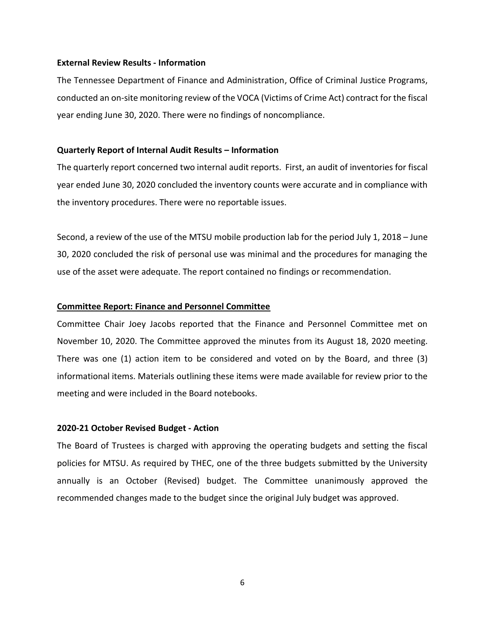## **External Review Results - Information**

The Tennessee Department of Finance and Administration, Office of Criminal Justice Programs, conducted an on-site monitoring review of the VOCA (Victims of Crime Act) contract for the fiscal year ending June 30, 2020. There were no findings of noncompliance.

# **Quarterly Report of Internal Audit Results – Information**

The quarterly report concerned two internal audit reports. First, an audit of inventories for fiscal year ended June 30, 2020 concluded the inventory counts were accurate and in compliance with the inventory procedures. There were no reportable issues.

Second, a review of the use of the MTSU mobile production lab for the period July 1, 2018 – June 30, 2020 concluded the risk of personal use was minimal and the procedures for managing the use of the asset were adequate. The report contained no findings or recommendation.

# **Committee Report: Finance and Personnel Committee**

Committee Chair Joey Jacobs reported that the Finance and Personnel Committee met on November 10, 2020. The Committee approved the minutes from its August 18, 2020 meeting. There was one (1) action item to be considered and voted on by the Board, and three (3) informational items. Materials outlining these items were made available for review prior to the meeting and were included in the Board notebooks.

# **2020-21 October Revised Budget - Action**

The Board of Trustees is charged with approving the operating budgets and setting the fiscal policies for MTSU. As required by THEC, one of the three budgets submitted by the University annually is an October (Revised) budget. The Committee unanimously approved the recommended changes made to the budget since the original July budget was approved.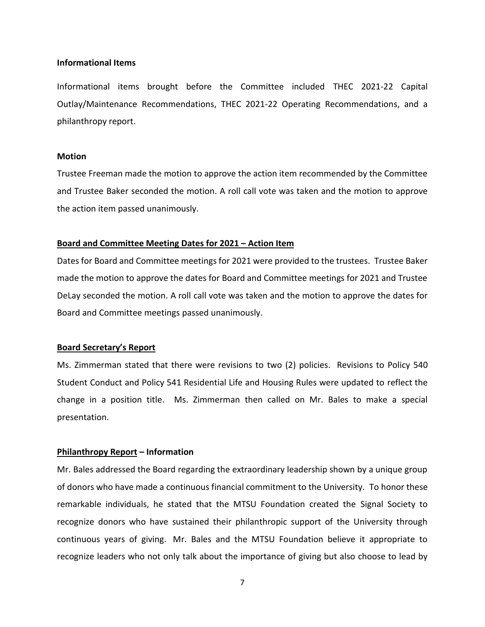## **Informational Items**

Informational items brought before the Committee included THEC 2021-22 Capital Outlay/Maintenance Recommendations, THEC 2021-22 Operating Recommendations, and a philanthropy report.

# **Motion**

Trustee Freeman made the motion to approve the action item recommended by the Committee and Trustee Baker seconded the motion. A roll call vote was taken and the motion to approve the action item passed unanimously.

# **Board and Committee Meeting Dates for 2021 – Action Item**

Dates for Board and Committee meetings for 2021 were provided to the trustees. Trustee Baker made the motion to approve the dates for Board and Committee meetings for 2021 and Trustee DeLay seconded the motion. A roll call vote was taken and the motion to approve the dates for Board and Committee meetings passed unanimously.

# **Board Secretary's Report**

Ms. Zimmerman stated that there were revisions to two (2) policies. Revisions to Policy 540 Student Conduct and Policy 541 Residential Life and Housing Rules were updated to reflect the change in a position title. Ms. Zimmerman then called on Mr. Bales to make a special presentation.

# **Philanthropy Report – Information**

Mr. Bales addressed the Board regarding the extraordinary leadership shown by a unique group of donors who have made a continuous financial commitment to the University. To honor these remarkable individuals, he stated that the MTSU Foundation created the Signal Society to recognize donors who have sustained their philanthropic support of the University through continuous years of giving. Mr. Bales and the MTSU Foundation believe it appropriate to recognize leaders who not only talk about the importance of giving but also choose to lead by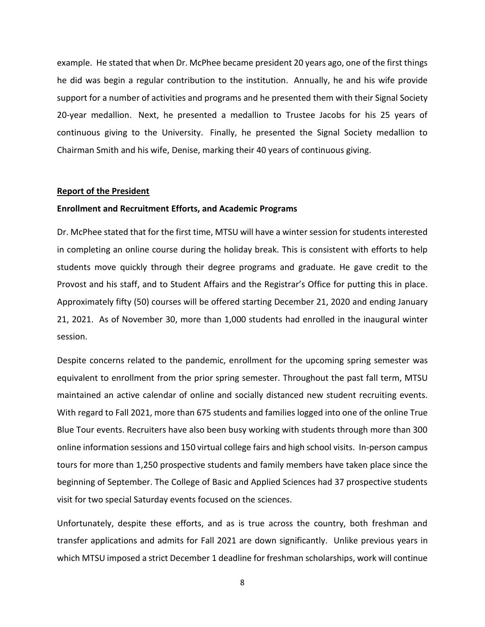example. He stated that when Dr. McPhee became president 20 years ago, one of the first things he did was begin a regular contribution to the institution. Annually, he and his wife provide support for a number of activities and programs and he presented them with their Signal Society 20-year medallion. Next, he presented a medallion to Trustee Jacobs for his 25 years of continuous giving to the University. Finally, he presented the Signal Society medallion to Chairman Smith and his wife, Denise, marking their 40 years of continuous giving.

# **Report of the President**

# **Enrollment and Recruitment Efforts, and Academic Programs**

Dr. McPhee stated that for the first time, MTSU will have a winter session for students interested in completing an online course during the holiday break. This is consistent with efforts to help students move quickly through their degree programs and graduate. He gave credit to the Provost and his staff, and to Student Affairs and the Registrar's Office for putting this in place. Approximately fifty (50) courses will be offered starting December 21, 2020 and ending January 21, 2021. As of November 30, more than 1,000 students had enrolled in the inaugural winter session.

Despite concerns related to the pandemic, enrollment for the upcoming spring semester was equivalent to enrollment from the prior spring semester. Throughout the past fall term, MTSU maintained an active calendar of online and socially distanced new student recruiting events. With regard to Fall 2021, more than 675 students and families logged into one of the online True Blue Tour events. Recruiters have also been busy working with students through more than 300 online information sessions and 150 virtual college fairs and high school visits. In-person campus tours for more than 1,250 prospective students and family members have taken place since the beginning of September. The College of Basic and Applied Sciences had 37 prospective students visit for two special Saturday events focused on the sciences.

Unfortunately, despite these efforts, and as is true across the country, both freshman and transfer applications and admits for Fall 2021 are down significantly. Unlike previous years in which MTSU imposed a strict December 1 deadline for freshman scholarships, work will continue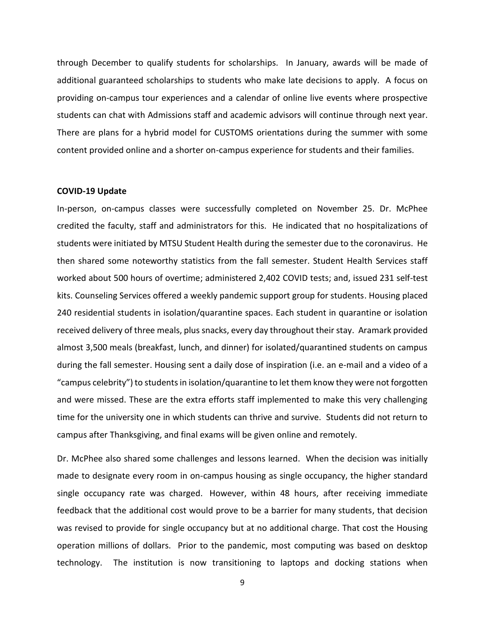through December to qualify students for scholarships. In January, awards will be made of additional guaranteed scholarships to students who make late decisions to apply. A focus on providing on-campus tour experiences and a calendar of online live events where prospective students can chat with Admissions staff and academic advisors will continue through next year. There are plans for a hybrid model for CUSTOMS orientations during the summer with some content provided online and a shorter on-campus experience for students and their families.

# **COVID-19 Update**

In-person, on-campus classes were successfully completed on November 25. Dr. McPhee credited the faculty, staff and administrators for this. He indicated that no hospitalizations of students were initiated by MTSU Student Health during the semester due to the coronavirus. He then shared some noteworthy statistics from the fall semester. Student Health Services staff worked about 500 hours of overtime; administered 2,402 COVID tests; and, issued 231 self-test kits. Counseling Services offered a weekly pandemic support group for students. Housing placed 240 residential students in isolation/quarantine spaces. Each student in quarantine or isolation received delivery of three meals, plus snacks, every day throughout their stay. Aramark provided almost 3,500 meals (breakfast, lunch, and dinner) for isolated/quarantined students on campus during the fall semester. Housing sent a daily dose of inspiration (i.e. an e-mail and a video of a "campus celebrity") to students in isolation/quarantine to let them know they were not forgotten and were missed. These are the extra efforts staff implemented to make this very challenging time for the university one in which students can thrive and survive. Students did not return to campus after Thanksgiving, and final exams will be given online and remotely.

Dr. McPhee also shared some challenges and lessons learned. When the decision was initially made to designate every room in on-campus housing as single occupancy, the higher standard single occupancy rate was charged. However, within 48 hours, after receiving immediate feedback that the additional cost would prove to be a barrier for many students, that decision was revised to provide for single occupancy but at no additional charge. That cost the Housing operation millions of dollars. Prior to the pandemic, most computing was based on desktop technology. The institution is now transitioning to laptops and docking stations when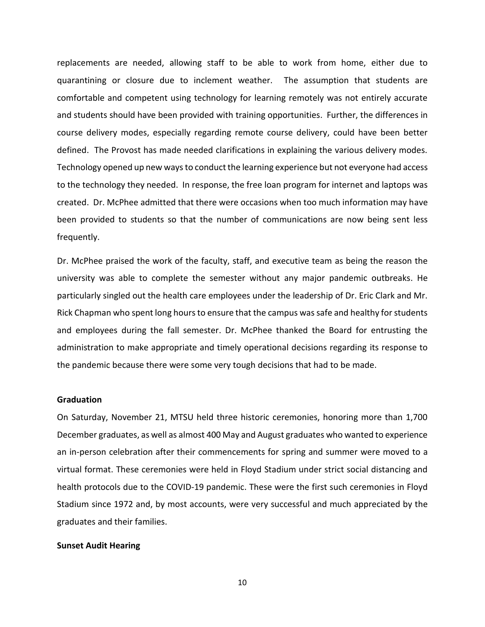replacements are needed, allowing staff to be able to work from home, either due to quarantining or closure due to inclement weather. The assumption that students are comfortable and competent using technology for learning remotely was not entirely accurate and students should have been provided with training opportunities. Further, the differences in course delivery modes, especially regarding remote course delivery, could have been better defined. The Provost has made needed clarifications in explaining the various delivery modes. Technology opened up new ways to conduct the learning experience but not everyone had access to the technology they needed. In response, the free loan program for internet and laptops was created. Dr. McPhee admitted that there were occasions when too much information may have been provided to students so that the number of communications are now being sent less frequently.

Dr. McPhee praised the work of the faculty, staff, and executive team as being the reason the university was able to complete the semester without any major pandemic outbreaks. He particularly singled out the health care employees under the leadership of Dr. Eric Clark and Mr. Rick Chapman who spent long hours to ensure that the campus was safe and healthy for students and employees during the fall semester. Dr. McPhee thanked the Board for entrusting the administration to make appropriate and timely operational decisions regarding its response to the pandemic because there were some very tough decisions that had to be made.

# **Graduation**

On Saturday, November 21, MTSU held three historic ceremonies, honoring more than 1,700 December graduates, as well as almost 400 May and August graduates who wanted to experience an in-person celebration after their commencements for spring and summer were moved to a virtual format. These ceremonies were held in Floyd Stadium under strict social distancing and health protocols due to the COVID-19 pandemic. These were the first such ceremonies in Floyd Stadium since 1972 and, by most accounts, were very successful and much appreciated by the graduates and their families.

#### **Sunset Audit Hearing**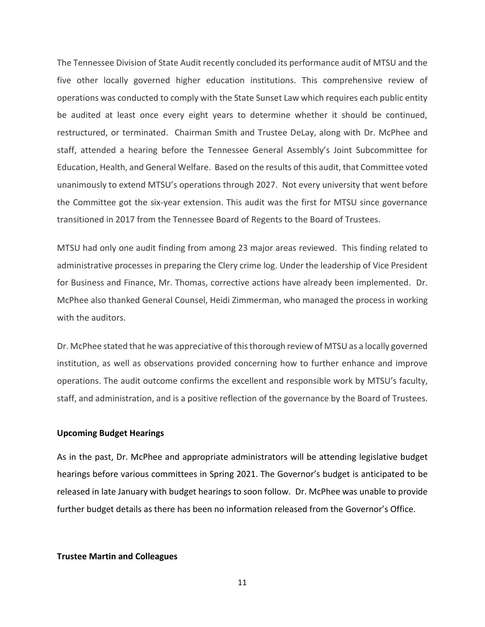The Tennessee Division of State Audit recently concluded its performance audit of MTSU and the five other locally governed higher education institutions. This comprehensive review of operations was conducted to comply with the State Sunset Law which requires each public entity be audited at least once every eight years to determine whether it should be continued, restructured, or terminated. Chairman Smith and Trustee DeLay, along with Dr. McPhee and staff, attended a hearing before the Tennessee General Assembly's Joint Subcommittee for Education, Health, and General Welfare. Based on the results of this audit, that Committee voted unanimously to extend MTSU's operations through 2027. Not every university that went before the Committee got the six-year extension. This audit was the first for MTSU since governance transitioned in 2017 from the Tennessee Board of Regents to the Board of Trustees.

MTSU had only one audit finding from among 23 major areas reviewed. This finding related to administrative processes in preparing the Clery crime log. Under the leadership of Vice President for Business and Finance, Mr. Thomas, corrective actions have already been implemented. Dr. McPhee also thanked General Counsel, Heidi Zimmerman, who managed the process in working with the auditors.

Dr. McPhee stated that he was appreciative of this thorough review of MTSU as a locally governed institution, as well as observations provided concerning how to further enhance and improve operations. The audit outcome confirms the excellent and responsible work by MTSU's faculty, staff, and administration, and is a positive reflection of the governance by the Board of Trustees.

# **Upcoming Budget Hearings**

As in the past, Dr. McPhee and appropriate administrators will be attending legislative budget hearings before various committees in Spring 2021. The Governor's budget is anticipated to be released in late January with budget hearings to soon follow. Dr. McPhee was unable to provide further budget details as there has been no information released from the Governor's Office.

#### **Trustee Martin and Colleagues**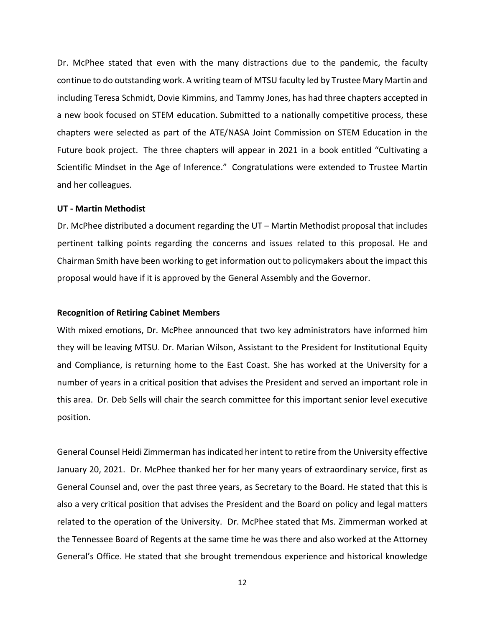Dr. McPhee stated that even with the many distractions due to the pandemic, the faculty continue to do outstanding work. A writing team of MTSU faculty led by Trustee Mary Martin and including Teresa Schmidt, Dovie Kimmins, and Tammy Jones, has had three chapters accepted in a new book focused on STEM education. Submitted to a nationally competitive process, these chapters were selected as part of the ATE/NASA Joint Commission on STEM Education in the Future book project. The three chapters will appear in 2021 in a book entitled "Cultivating a Scientific Mindset in the Age of Inference." Congratulations were extended to Trustee Martin and her colleagues.

# **UT - Martin Methodist**

Dr. McPhee distributed a document regarding the UT – Martin Methodist proposal that includes pertinent talking points regarding the concerns and issues related to this proposal. He and Chairman Smith have been working to get information out to policymakers about the impact this proposal would have if it is approved by the General Assembly and the Governor.

## **Recognition of Retiring Cabinet Members**

With mixed emotions, Dr. McPhee announced that two key administrators have informed him they will be leaving MTSU. Dr. Marian Wilson, Assistant to the President for Institutional Equity and Compliance, is returning home to the East Coast. She has worked at the University for a number of years in a critical position that advises the President and served an important role in this area. Dr. Deb Sells will chair the search committee for this important senior level executive position.

General Counsel Heidi Zimmerman has indicated her intent to retire from the University effective January 20, 2021. Dr. McPhee thanked her for her many years of extraordinary service, first as General Counsel and, over the past three years, as Secretary to the Board. He stated that this is also a very critical position that advises the President and the Board on policy and legal matters related to the operation of the University. Dr. McPhee stated that Ms. Zimmerman worked at the Tennessee Board of Regents at the same time he was there and also worked at the Attorney General's Office. He stated that she brought tremendous experience and historical knowledge